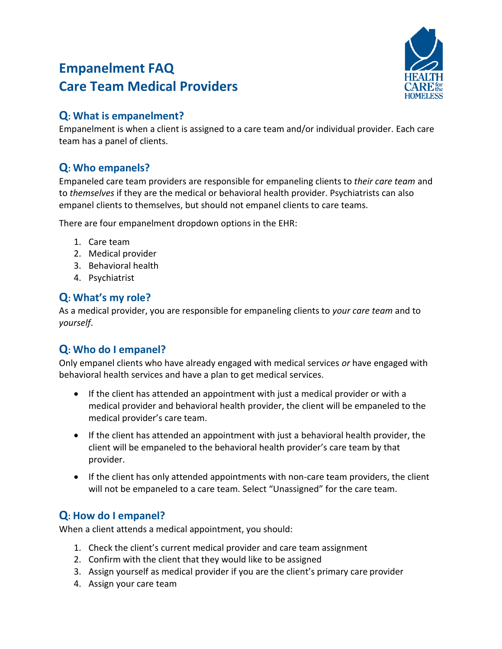# **Empanelment FAQ Care Team Medical Providers**



#### **Q: What is empanelment?**

Empanelment is when a client is assigned to a care team and/or individual provider. Each care team has a panel of clients.

## **Q: Who empanels?**

Empaneled care team providers are responsible for empaneling clients to *their care team* and to *themselves* if they are the medical or behavioral health provider. Psychiatrists can also empanel clients to themselves, but should not empanel clients to care teams.

There are four empanelment dropdown options in the EHR:

- 1. Care team
- 2. Medical provider
- 3. Behavioral health
- 4. Psychiatrist

### **Q: What's my role?**

As a medical provider, you are responsible for empaneling clients to *your care team* and to *yourself*.

### **Q: Who do I empanel?**

Only empanel clients who have already engaged with medical services *or* have engaged with behavioral health services and have a plan to get medical services.

- If the client has attended an appointment with just a medical provider or with a medical provider and behavioral health provider, the client will be empaneled to the medical provider's care team.
- If the client has attended an appointment with just a behavioral health provider, the client will be empaneled to the behavioral health provider's care team by that provider.
- If the client has only attended appointments with non-care team providers, the client will not be empaneled to a care team. Select "Unassigned" for the care team.

### **Q: How do I empanel?**

When a client attends a medical appointment, you should:

- 1. Check the client's current medical provider and care team assignment
- 2. Confirm with the client that they would like to be assigned
- 3. Assign yourself as medical provider if you are the client's primary care provider
- 4. Assign your care team